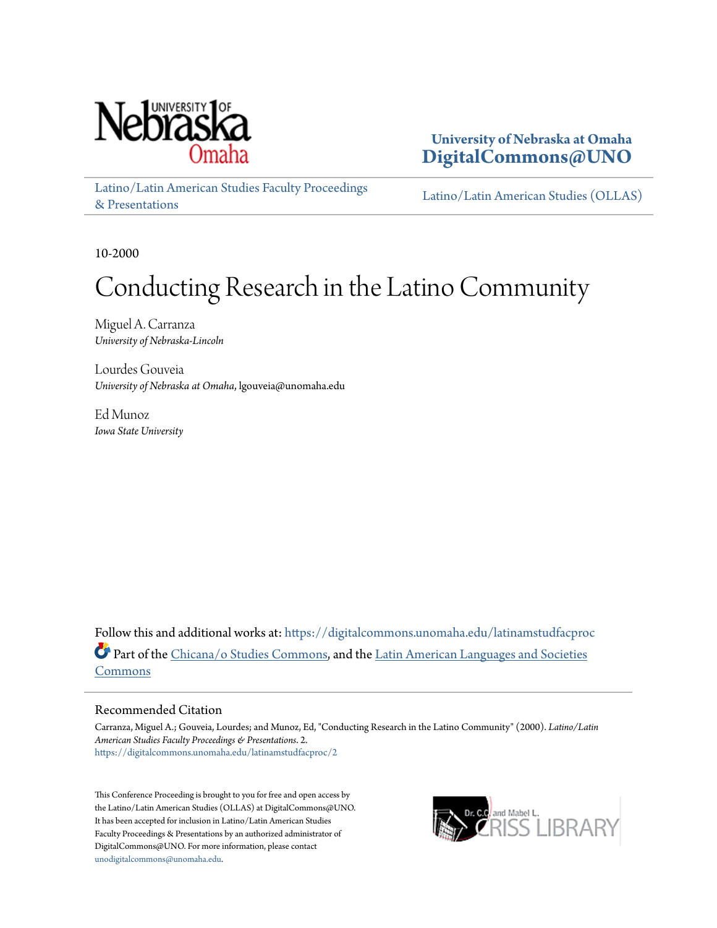

**University of Nebraska at Omaha [DigitalCommons@UNO](https://digitalcommons.unomaha.edu?utm_source=digitalcommons.unomaha.edu%2Flatinamstudfacproc%2F2&utm_medium=PDF&utm_campaign=PDFCoverPages)**

[Latino/Latin American Studies Faculty Proceedings](https://digitalcommons.unomaha.edu/latinamstudfacproc?utm_source=digitalcommons.unomaha.edu%2Flatinamstudfacproc%2F2&utm_medium=PDF&utm_campaign=PDFCoverPages) [& Presentations](https://digitalcommons.unomaha.edu/latinamstudfacproc?utm_source=digitalcommons.unomaha.edu%2Flatinamstudfacproc%2F2&utm_medium=PDF&utm_campaign=PDFCoverPages)

[Latino/Latin American Studies \(OLLAS\)](https://digitalcommons.unomaha.edu/latinamstudies?utm_source=digitalcommons.unomaha.edu%2Flatinamstudfacproc%2F2&utm_medium=PDF&utm_campaign=PDFCoverPages)

10-2000

# Conducting Research in the Latino Community

Miguel A. Carranza *University of Nebraska-Lincoln*

Lourdes Gouveia *University of Nebraska at Omaha*, lgouveia@unomaha.edu

Ed Munoz *Iowa State University*

Follow this and additional works at: [https://digitalcommons.unomaha.edu/latinamstudfacproc](https://digitalcommons.unomaha.edu/latinamstudfacproc?utm_source=digitalcommons.unomaha.edu%2Flatinamstudfacproc%2F2&utm_medium=PDF&utm_campaign=PDFCoverPages) Part of the [Chicana/o Studies Commons,](http://network.bepress.com/hgg/discipline/569?utm_source=digitalcommons.unomaha.edu%2Flatinamstudfacproc%2F2&utm_medium=PDF&utm_campaign=PDFCoverPages) and the [Latin American Languages and Societies](http://network.bepress.com/hgg/discipline/483?utm_source=digitalcommons.unomaha.edu%2Flatinamstudfacproc%2F2&utm_medium=PDF&utm_campaign=PDFCoverPages) [Commons](http://network.bepress.com/hgg/discipline/483?utm_source=digitalcommons.unomaha.edu%2Flatinamstudfacproc%2F2&utm_medium=PDF&utm_campaign=PDFCoverPages)

#### Recommended Citation

Carranza, Miguel A.; Gouveia, Lourdes; and Munoz, Ed, "Conducting Research in the Latino Community" (2000). *Latino/Latin American Studies Faculty Proceedings & Presentations*. 2. [https://digitalcommons.unomaha.edu/latinamstudfacproc/2](https://digitalcommons.unomaha.edu/latinamstudfacproc/2?utm_source=digitalcommons.unomaha.edu%2Flatinamstudfacproc%2F2&utm_medium=PDF&utm_campaign=PDFCoverPages)

This Conference Proceeding is brought to you for free and open access by the Latino/Latin American Studies (OLLAS) at DigitalCommons@UNO. It has been accepted for inclusion in Latino/Latin American Studies Faculty Proceedings & Presentations by an authorized administrator of DigitalCommons@UNO. For more information, please contact [unodigitalcommons@unomaha.edu](mailto:unodigitalcommons@unomaha.edu).